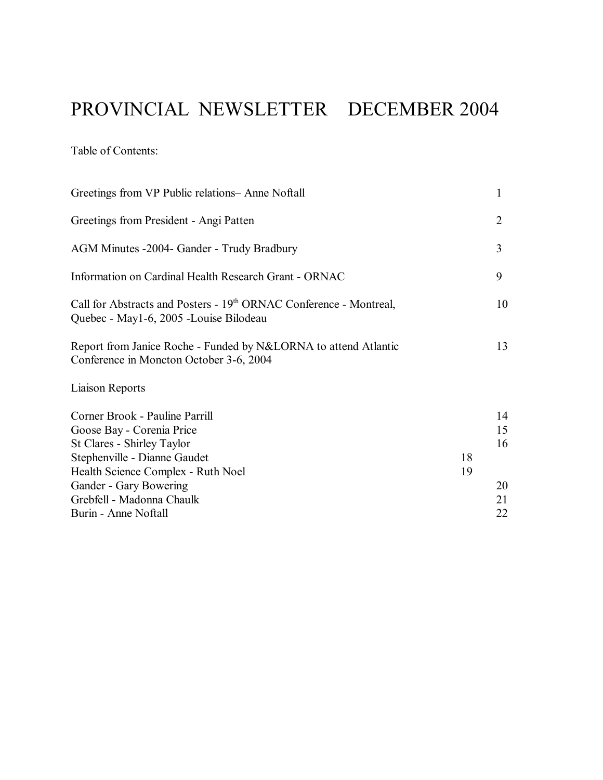# PROVINCIAL NEWSLETTER DECEMBER 2004

Table of Contents:

| 1              |
|----------------|
| $\overline{2}$ |
| 3              |
| 9              |
| 10             |
| 13             |
|                |
| 14<br>15<br>16 |
|                |
| 20             |
| 21             |
| 22             |
| 18<br>19       |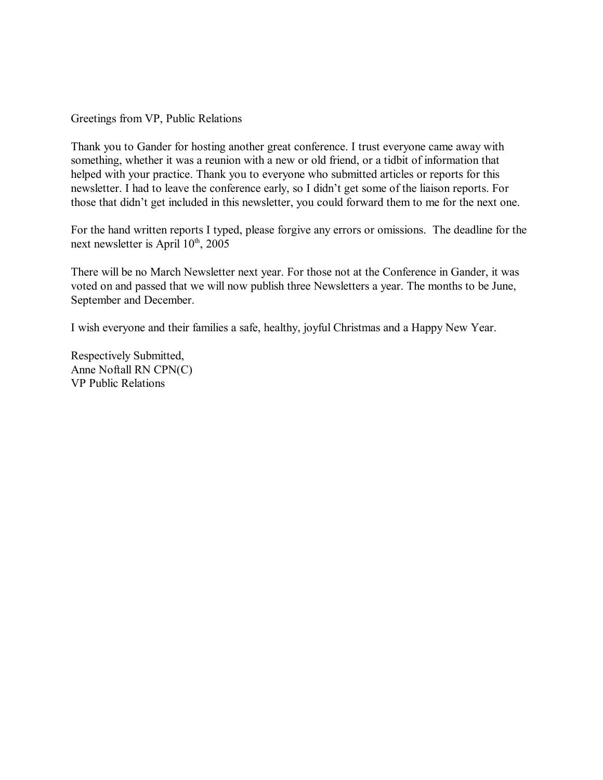Greetings from VP, Public Relations

Thank you to Gander for hosting another great conference. I trust everyone came away with something, whether it was a reunion with a new or old friend, or a tidbit of information that helped with your practice. Thank you to everyone who submitted articles or reports for this newsletter. I had to leave the conference early, so I didn't get some of the liaison reports. For those that didn't get included in this newsletter, you could forward them to me for the next one.

For the hand written reports I typed, please forgive any errors or omissions. The deadline for the next newsletter is April  $10^{th}$ ,  $2005$ 

There will be no March Newsletter next year. For those not at the Conference in Gander, it was voted on and passed that we will now publish three Newsletters a year. The months to be June, September and December.

I wish everyone and their families a safe, healthy, joyful Christmas and a Happy New Year.

Respectively Submitted, Anne Noftall RN CPN(C) VP Public Relations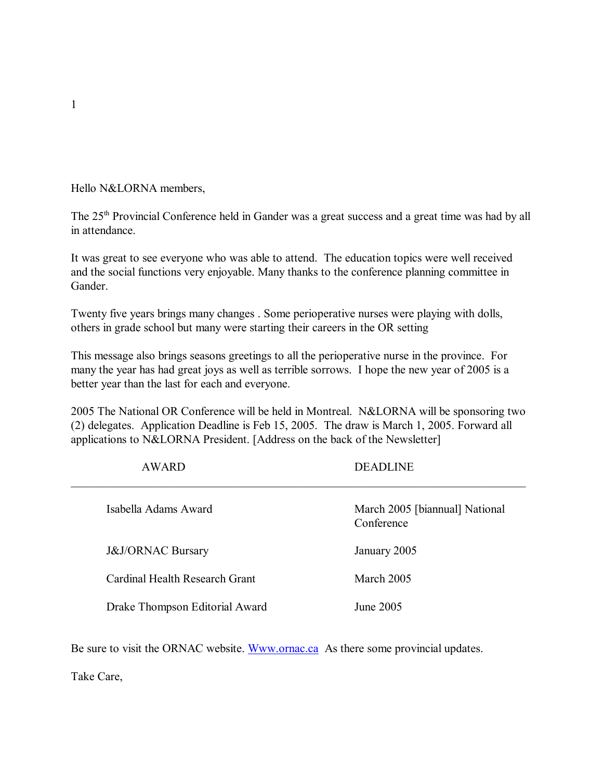Hello N&LORNA members,

The 25<sup>th</sup> Provincial Conference held in Gander was a great success and a great time was had by all in attendance.

It was great to see everyone who was able to attend. The education topics were well received and the social functions very enjoyable. Many thanks to the conference planning committee in Gander.

Twenty five years brings many changes . Some perioperative nurses were playing with dolls, others in grade school but many were starting their careers in the OR setting

This message also brings seasons greetings to all the perioperative nurse in the province. For many the year has had great joys as well as terrible sorrows. I hope the new year of 2005 is a better year than the last for each and everyone.

2005 The National OR Conference will be held in Montreal. N&LORNA will be sponsoring two (2) delegates. Application Deadline is Feb 15, 2005. The draw is March 1, 2005. Forward all applications to N&LORNA President. [Address on the back of the Newsletter]

| <b>AWARD</b>                   | <b>DEADLINE</b>                              |
|--------------------------------|----------------------------------------------|
| Isabella Adams Award           | March 2005 [biannual] National<br>Conference |
| <b>J&amp;J/ORNAC Bursary</b>   | January 2005                                 |
| Cardinal Health Research Grant | March 2005                                   |
| Drake Thompson Editorial Award | June 2005                                    |

Be sure to visit the ORNAC website. Www.ornac.ca As there some provincial updates.

Take Care,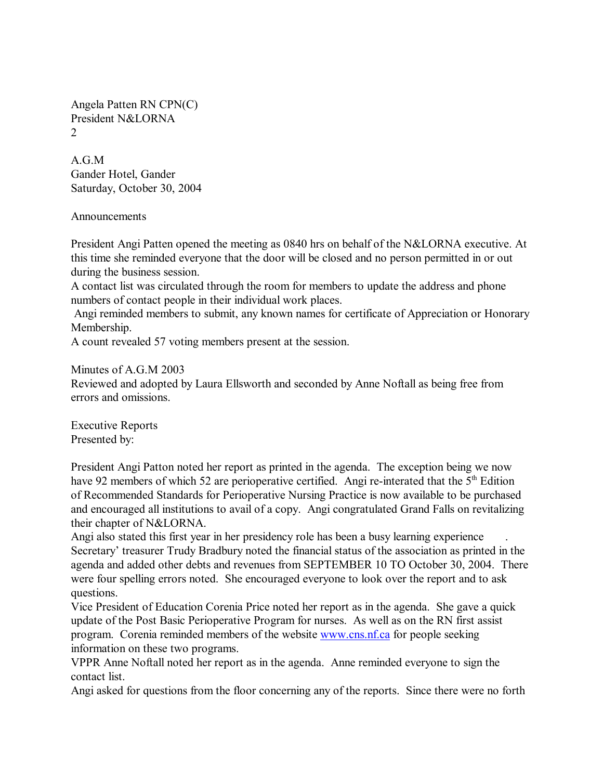Angela Patten RN CPN(C) President N&LORNA  $\mathcal{L}$ 

A.G.M Gander Hotel, Gander Saturday, October 30, 2004

**Announcements** 

President Angi Patten opened the meeting as 0840 hrs on behalf of the N&LORNA executive. At this time she reminded everyone that the door will be closed and no person permitted in or out during the business session.

A contact list was circulated through the room for members to update the address and phone numbers of contact people in their individual work places.

 Angi reminded members to submit, any known names for certificate of Appreciation or Honorary Membership.

A count revealed 57 voting members present at the session.

Minutes of A.G.M 2003

Reviewed and adopted by Laura Ellsworth and seconded by Anne Noftall as being free from errors and omissions.

Executive Reports Presented by:

President Angi Patton noted her report as printed in the agenda. The exception being we now have 92 members of which 52 are perioperative certified. Angi re-interated that the 5<sup>th</sup> Edition of Recommended Standards for Perioperative Nursing Practice is now available to be purchased and encouraged all institutions to avail of a copy. Angi congratulated Grand Falls on revitalizing their chapter of N&LORNA.

Angi also stated this first year in her presidency role has been a busy learning experience Secretary' treasurer Trudy Bradbury noted the financial status of the association as printed in the agenda and added other debts and revenues from SEPTEMBER 10 TO October 30, 2004. There were four spelling errors noted. She encouraged everyone to look over the report and to ask questions.

Vice President of Education Corenia Price noted her report as in the agenda. She gave a quick update of the Post Basic Perioperative Program for nurses. As well as on the RN first assist program. Corenia reminded members of the website www.cns.nf.ca for people seeking information on these two programs.

VPPR Anne Noftall noted her report as in the agenda. Anne reminded everyone to sign the contact list.

Angi asked for questions from the floor concerning any of the reports. Since there were no forth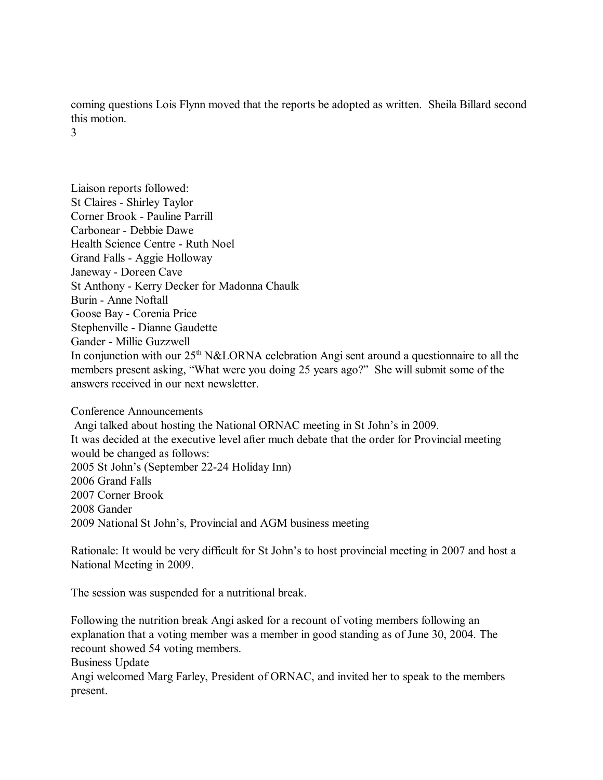coming questions Lois Flynn moved that the reports be adopted as written. Sheila Billard second this motion.

3

Liaison reports followed: St Claires - Shirley Taylor Corner Brook - Pauline Parrill Carbonear - Debbie Dawe Health Science Centre - Ruth Noel Grand Falls - Aggie Holloway Janeway - Doreen Cave St Anthony - Kerry Decker for Madonna Chaulk Burin - Anne Noftall Goose Bay - Corenia Price Stephenville - Dianne Gaudette Gander - Millie Guzzwell In conjunction with our  $25<sup>th</sup> N&LORNA$  celebration Angi sent around a questionnaire to all the members present asking, "What were you doing 25 years ago?" She will submit some of the answers received in our next newsletter.

Conference Announcements Angi talked about hosting the National ORNAC meeting in St John's in 2009. It was decided at the executive level after much debate that the order for Provincial meeting would be changed as follows: 2005 St John's (September 22-24 Holiday Inn) 2006 Grand Falls 2007 Corner Brook 2008 Gander 2009 National St John's, Provincial and AGM business meeting

Rationale: It would be very difficult for St John's to host provincial meeting in 2007 and host a National Meeting in 2009.

The session was suspended for a nutritional break.

Following the nutrition break Angi asked for a recount of voting members following an explanation that a voting member was a member in good standing as of June 30, 2004. The recount showed 54 voting members.

Business Update

Angi welcomed Marg Farley, President of ORNAC, and invited her to speak to the members present.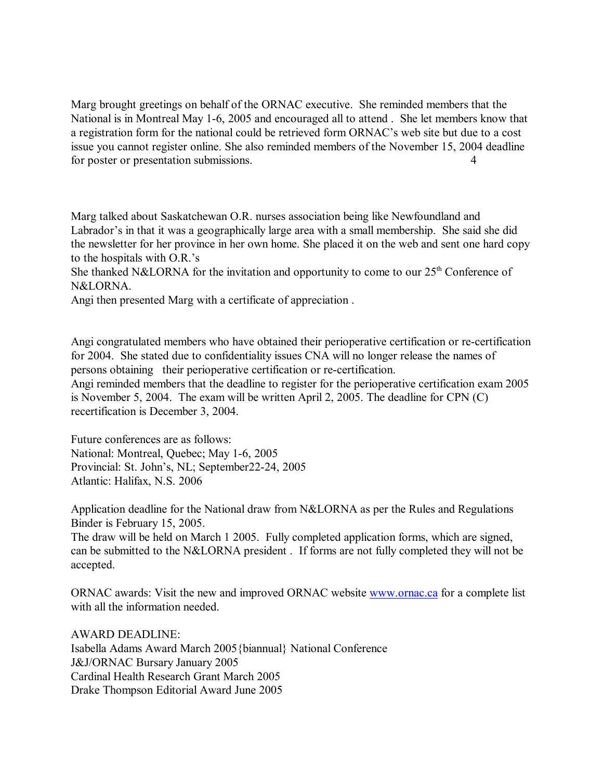Marg brought greetings on behalf of the ORNAC executive. She reminded members that the National is in Montreal May 1-6, 2005 and encouraged all to attend . She let members know that a registration form for the national could be retrieved form ORNAC's web site but due to a cost issue you cannot register online. She also reminded members of the November 15, 2004 deadline for poster or presentation submissions. 4

Marg talked about Saskatchewan O.R. nurses association being like Newfoundland and Labrador's in that it was a geographically large area with a small membership. She said she did the newsletter for her province in her own home. She placed it on the web and sent one hard copy to the hospitals with  $O.R.'s$ 

She thanked N&LORNA for the invitation and opportunity to come to our  $25<sup>th</sup>$  Conference of N&LORNA.

Angi then presented Marg with a certificate of appreciation .

Angi congratulated members who have obtained their perioperative certification or re-certification for 2004. She stated due to confidentiality issues CNA will no longer release the names of persons obtaining their perioperative certification or re-certification.

Angi reminded members that the deadline to register for the perioperative certification exam 2005 is November 5, 2004. The exam will be written April 2, 2005. The deadline for CPN (C) recertification is December 3, 2004.

Future conferences are as follows: National: Montreal, Quebec; May 1-6, 2005 Provincial: St. John's, NL; September22-24, 2005 Atlantic: Halifax, N.S. 2006

Application deadline for the National draw from N&LORNA as per the Rules and Regulations Binder is February 15, 2005.

The draw will be held on March 1 2005. Fully completed application forms, which are signed, can be submitted to the N&LORNA president . If forms are not fully completed they will not be accepted.

ORNAC awards: Visit the new and improved ORNAC website www.ornac.ca for a complete list with all the information needed.

AWARD DEADLINE: Isabella Adams Award March 2005{biannual} National Conference J&J/ORNAC Bursary January 2005 Cardinal Health Research Grant March 2005 Drake Thompson Editorial Award June 2005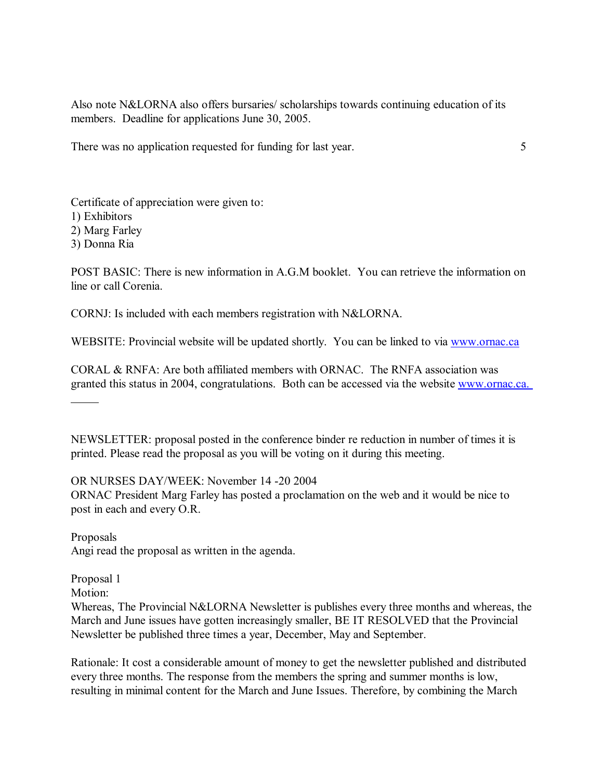Also note N&LORNA also offers bursaries/ scholarships towards continuing education of its members. Deadline for applications June 30, 2005.

There was no application requested for funding for last year. 5

Certificate of appreciation were given to: 1) Exhibitors 2) Marg Farley 3) Donna Ria

POST BASIC: There is new information in A.G.M booklet. You can retrieve the information on line or call Corenia.

CORNJ: Is included with each members registration with N&LORNA.

WEBSITE: Provincial website will be updated shortly. You can be linked to via www.ornac.ca

CORAL & RNFA: Are both affiliated members with ORNAC. The RNFA association was granted this status in 2004, congratulations. Both can be accessed via the website www.ornac.ca.

NEWSLETTER: proposal posted in the conference binder re reduction in number of times it is printed. Please read the proposal as you will be voting on it during this meeting.

OR NURSES DAY/WEEK: November 14 -20 2004

ORNAC President Marg Farley has posted a proclamation on the web and it would be nice to post in each and every O.R.

Proposals Angi read the proposal as written in the agenda.

Proposal 1

Motion:

l

Whereas, The Provincial N&LORNA Newsletter is publishes every three months and whereas, the March and June issues have gotten increasingly smaller, BE IT RESOLVED that the Provincial Newsletter be published three times a year, December, May and September.

Rationale: It cost a considerable amount of money to get the newsletter published and distributed every three months. The response from the members the spring and summer months is low, resulting in minimal content for the March and June Issues. Therefore, by combining the March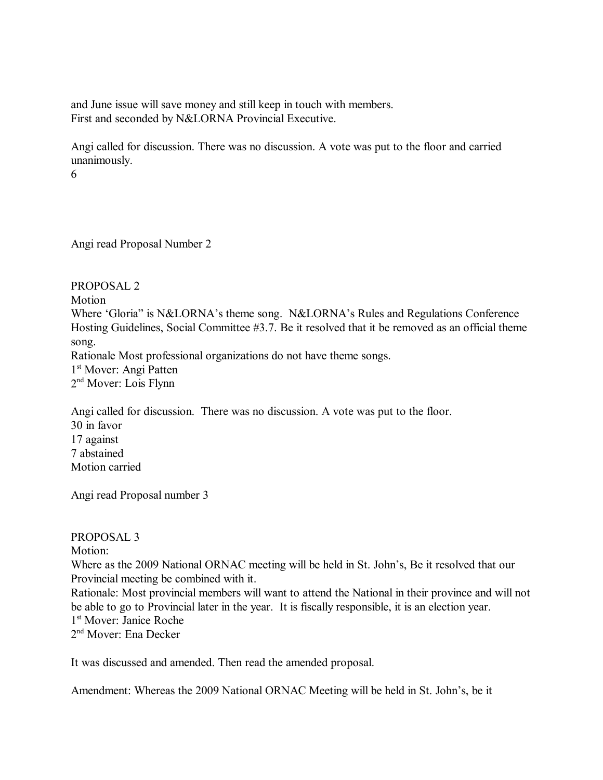and June issue will save money and still keep in touch with members. First and seconded by N&LORNA Provincial Executive.

Angi called for discussion. There was no discussion. A vote was put to the floor and carried unanimously.

6

Angi read Proposal Number 2

PROPOSAL 2 Motion Where 'Gloria" is N&LORNA's theme song. N&LORNA's Rules and Regulations Conference Hosting Guidelines, Social Committee #3.7. Be it resolved that it be removed as an official theme song. Rationale Most professional organizations do not have theme songs. 1st Mover: Angi Patten 2<sup>nd</sup> Mover: Lois Flynn

Angi called for discussion. There was no discussion. A vote was put to the floor. 30 in favor 17 against 7 abstained Motion carried

Angi read Proposal number 3

### PROPOSAL 3

Motion:

Where as the 2009 National ORNAC meeting will be held in St. John's, Be it resolved that our Provincial meeting be combined with it.

Rationale: Most provincial members will want to attend the National in their province and will not be able to go to Provincial later in the year. It is fiscally responsible, it is an election year. 1st Mover: Janice Roche

2<sup>nd</sup> Mover: Ena Decker

It was discussed and amended. Then read the amended proposal.

Amendment: Whereas the 2009 National ORNAC Meeting will be held in St. John's, be it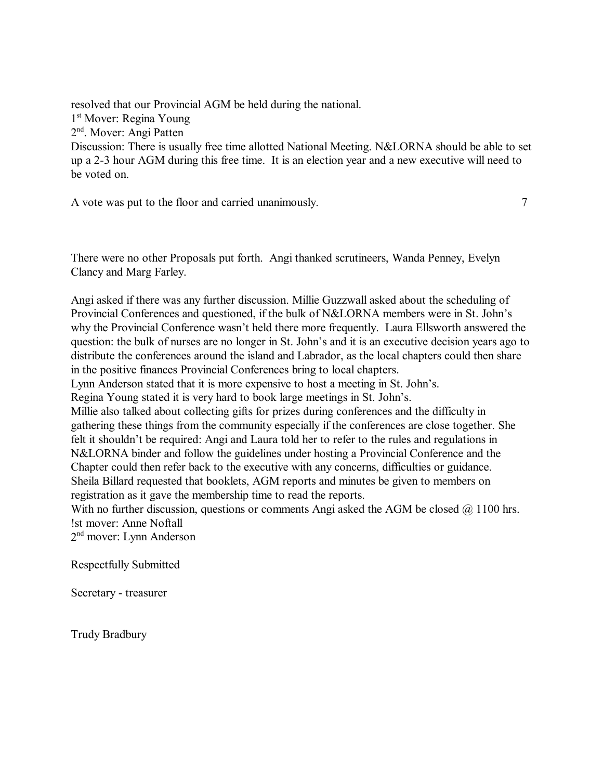resolved that our Provincial AGM be held during the national. 1<sup>st</sup> Mover: Regina Young 2<sup>nd</sup>. Mover: Angi Patten Discussion: There is usually free time allotted National Meeting. N&LORNA should be able to set up a 2-3 hour AGM during this free time. It is an election year and a new executive will need to be voted on.

A vote was put to the floor and carried unanimously.  $7 \overline{2}$ 

There were no other Proposals put forth. Angi thanked scrutineers, Wanda Penney, Evelyn Clancy and Marg Farley.

Angi asked if there was any further discussion. Millie Guzzwall asked about the scheduling of Provincial Conferences and questioned, if the bulk of N&LORNA members were in St. Johnís why the Provincial Conference wasn't held there more frequently. Laura Ellsworth answered the question: the bulk of nurses are no longer in St. John's and it is an executive decision years ago to distribute the conferences around the island and Labrador, as the local chapters could then share in the positive finances Provincial Conferences bring to local chapters.

Lynn Anderson stated that it is more expensive to host a meeting in St. John's.

Regina Young stated it is very hard to book large meetings in St. John's.

Millie also talked about collecting gifts for prizes during conferences and the difficulty in gathering these things from the community especially if the conferences are close together. She felt it shouldn't be required: Angi and Laura told her to refer to the rules and regulations in N&LORNA binder and follow the guidelines under hosting a Provincial Conference and the Chapter could then refer back to the executive with any concerns, difficulties or guidance. Sheila Billard requested that booklets, AGM reports and minutes be given to members on registration as it gave the membership time to read the reports.

With no further discussion, questions or comments Angi asked the AGM be closed  $\omega$  1100 hrs. !st mover: Anne Noftall

2nd mover: Lynn Anderson

Respectfully Submitted

Secretary - treasurer

Trudy Bradbury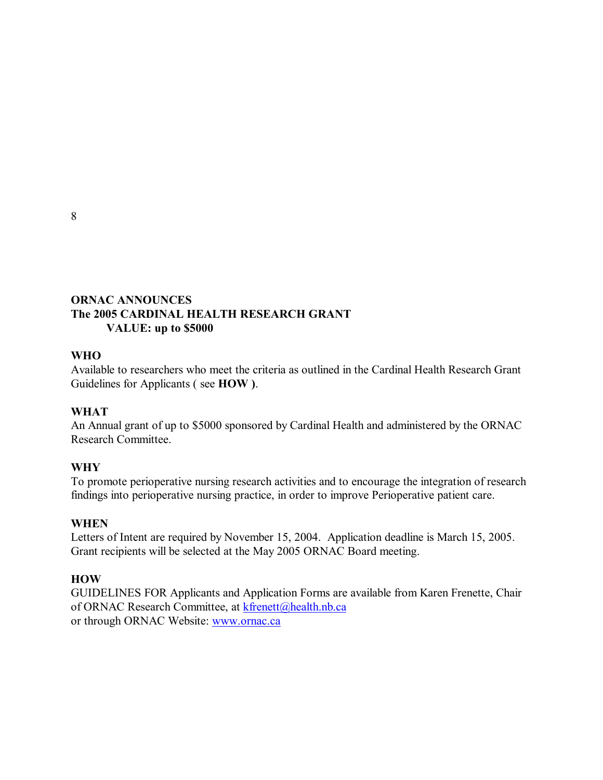8

### **ORNAC ANNOUNCES The 2005 CARDINAL HEALTH RESEARCH GRANT VALUE: up to \$5000**

### **WHO**

Available to researchers who meet the criteria as outlined in the Cardinal Health Research Grant Guidelines for Applicants ( see **HOW )**.

### **WHAT**

An Annual grant of up to \$5000 sponsored by Cardinal Health and administered by the ORNAC Research Committee.

### **WHY**

To promote perioperative nursing research activities and to encourage the integration of research findings into perioperative nursing practice, in order to improve Perioperative patient care.

### **WHEN**

Letters of Intent are required by November 15, 2004. Application deadline is March 15, 2005. Grant recipients will be selected at the May 2005 ORNAC Board meeting.

### **HOW**

GUIDELINES FOR Applicants and Application Forms are available from Karen Frenette, Chair of ORNAC Research Committee, at kfrenett@health.nb.ca or through ORNAC Website: www.ornac.ca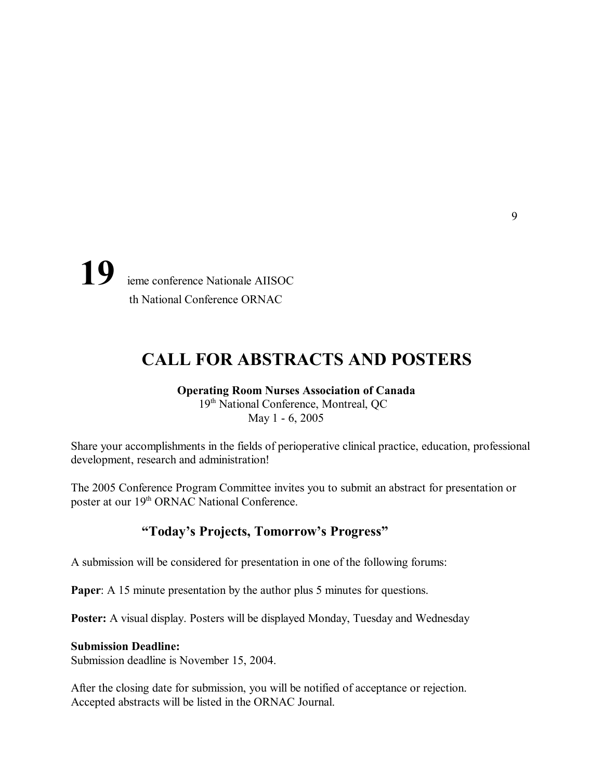19 ieme conference Nationale AIISOC th National Conference ORNAC

## **CALL FOR ABSTRACTS AND POSTERS**

#### **Operating Room Nurses Association of Canada** 19<sup>th</sup> National Conference, Montreal, QC May 1 - 6, 2005

Share your accomplishments in the fields of perioperative clinical practice, education, professional development, research and administration!

The 2005 Conference Program Committee invites you to submit an abstract for presentation or poster at our 19<sup>th</sup> ORNAC National Conference.

### **ìTodayís Projects, Tomorrowís Progressî**

A submission will be considered for presentation in one of the following forums:

**Paper:** A 15 minute presentation by the author plus 5 minutes for questions.

**Poster:** A visual display. Posters will be displayed Monday, Tuesday and Wednesday

#### **Submission Deadline:**

Submission deadline is November 15, 2004.

After the closing date for submission, you will be notified of acceptance or rejection. Accepted abstracts will be listed in the ORNAC Journal.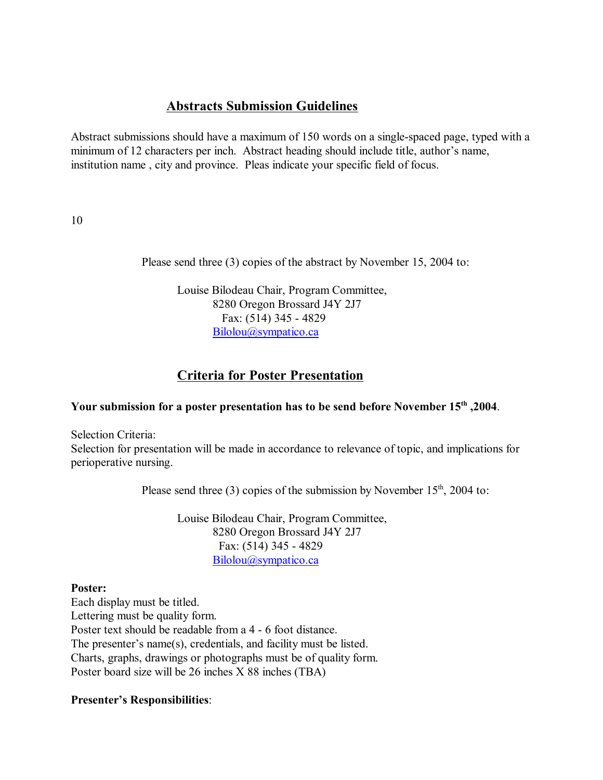### **Abstracts Submission Guidelines**

Abstract submissions should have a maximum of 150 words on a single-spaced page, typed with a minimum of 12 characters per inch. Abstract heading should include title, author's name, institution name , city and province. Pleas indicate your specific field of focus.

10

Please send three (3) copies of the abstract by November 15, 2004 to:

Louise Bilodeau Chair, Program Committee, 8280 Oregon Brossard J4Y 2J7 Fax: (514) 345 - 4829 Bilolou@sympatico.ca

### **Criteria for Poster Presentation**

### **Your submission for a poster presentation has to be send before November 15th ,2004**.

Selection Criteria:

Selection for presentation will be made in accordance to relevance of topic, and implications for perioperative nursing.

Please send three (3) copies of the submission by November  $15<sup>th</sup>$ , 2004 to:

Louise Bilodeau Chair, Program Committee, 8280 Oregon Brossard J4Y 2J7 Fax: (514) 345 - 4829 Bilolou@sympatico.ca

### **Poster:**

Each display must be titled. Lettering must be quality form. Poster text should be readable from a 4 - 6 foot distance. The presenter's name $(s)$ , credentials, and facility must be listed. Charts, graphs, drawings or photographs must be of quality form. Poster board size will be 26 inches X 88 inches (TBA)

### **Presenter's Responsibilities:**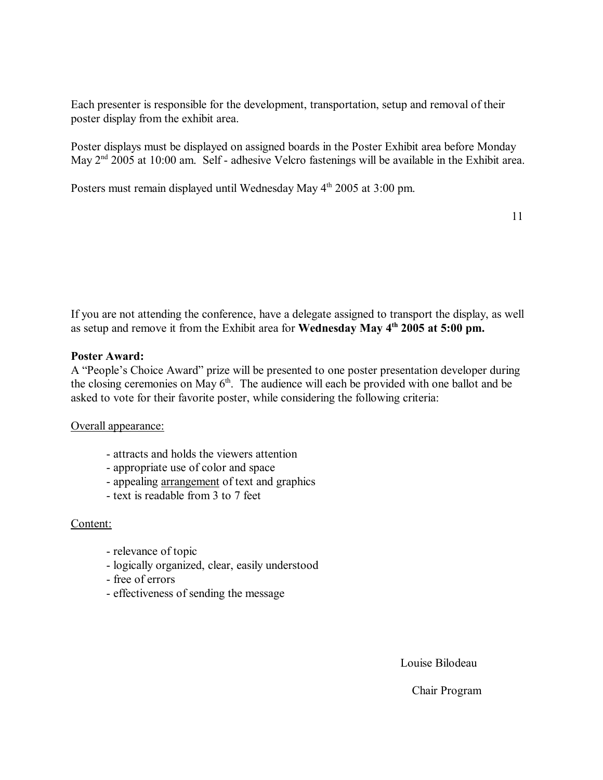Each presenter is responsible for the development, transportation, setup and removal of their poster display from the exhibit area.

Poster displays must be displayed on assigned boards in the Poster Exhibit area before Monday May 2<sup>nd</sup> 2005 at 10:00 am. Self - adhesive Velcro fastenings will be available in the Exhibit area.

Posters must remain displayed until Wednesday May 4<sup>th</sup> 2005 at 3:00 pm.

11

If you are not attending the conference, have a delegate assigned to transport the display, as well as setup and remove it from the Exhibit area for **Wednesday May 4th 2005 at 5:00 pm.**

### **Poster Award:**

A "People's Choice Award" prize will be presented to one poster presentation developer during the closing ceremonies on May  $6<sup>th</sup>$ . The audience will each be provided with one ballot and be asked to vote for their favorite poster, while considering the following criteria:

Overall appearance:

- attracts and holds the viewers attention
- appropriate use of color and space
- appealing arrangement of text and graphics
- text is readable from 3 to 7 feet

### Content:

- relevance of topic
- logically organized, clear, easily understood
- free of errors
- effectiveness of sending the message

Louise Bilodeau

Chair Program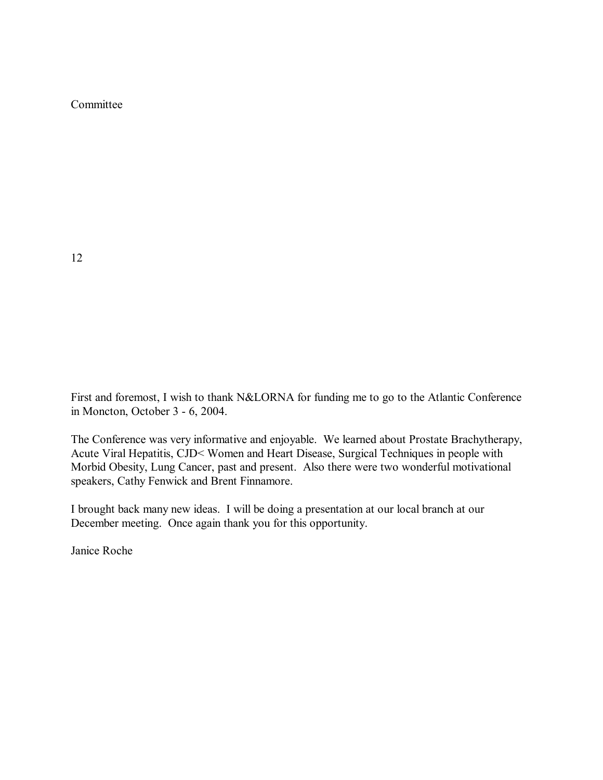Committee

12

First and foremost, I wish to thank N&LORNA for funding me to go to the Atlantic Conference in Moncton, October 3 - 6, 2004.

The Conference was very informative and enjoyable. We learned about Prostate Brachytherapy, Acute Viral Hepatitis, CJD< Women and Heart Disease, Surgical Techniques in people with Morbid Obesity, Lung Cancer, past and present. Also there were two wonderful motivational speakers, Cathy Fenwick and Brent Finnamore.

I brought back many new ideas. I will be doing a presentation at our local branch at our December meeting. Once again thank you for this opportunity.

Janice Roche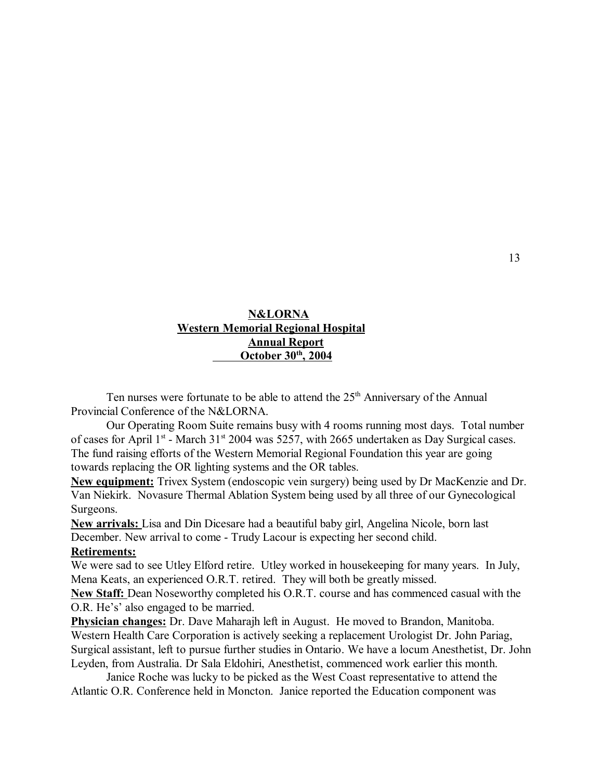### **N&LORNA Western Memorial Regional Hospital Annual Report October 30th, 2004**

Ten nurses were fortunate to be able to attend the  $25<sup>th</sup>$  Anniversary of the Annual Provincial Conference of the N&LORNA.

Our Operating Room Suite remains busy with 4 rooms running most days. Total number of cases for April  $1<sup>st</sup>$  - March 31<sup>st</sup> 2004 was 5257, with 2665 undertaken as Day Surgical cases. The fund raising efforts of the Western Memorial Regional Foundation this year are going towards replacing the OR lighting systems and the OR tables.

**New equipment:** Trivex System (endoscopic vein surgery) being used by Dr MacKenzie and Dr. Van Niekirk. Novasure Thermal Ablation System being used by all three of our Gynecological Surgeons.

**New arrivals:** Lisa and Din Dicesare had a beautiful baby girl, Angelina Nicole, born last December. New arrival to come - Trudy Lacour is expecting her second child.

#### **Retirements:**

We were sad to see Utley Elford retire. Utley worked in housekeeping for many years. In July, Mena Keats, an experienced O.R.T. retired. They will both be greatly missed.

**New Staff:** Dean Noseworthy completed his O.R.T. course and has commenced casual with the O.R. He's' also engaged to be married.

**Physician changes:** Dr. Dave Maharajh left in August. He moved to Brandon, Manitoba. Western Health Care Corporation is actively seeking a replacement Urologist Dr. John Pariag, Surgical assistant, left to pursue further studies in Ontario. We have a locum Anesthetist, Dr. John Leyden, from Australia. Dr Sala Eldohiri, Anesthetist, commenced work earlier this month.

Janice Roche was lucky to be picked as the West Coast representative to attend the Atlantic O.R. Conference held in Moncton. Janice reported the Education component was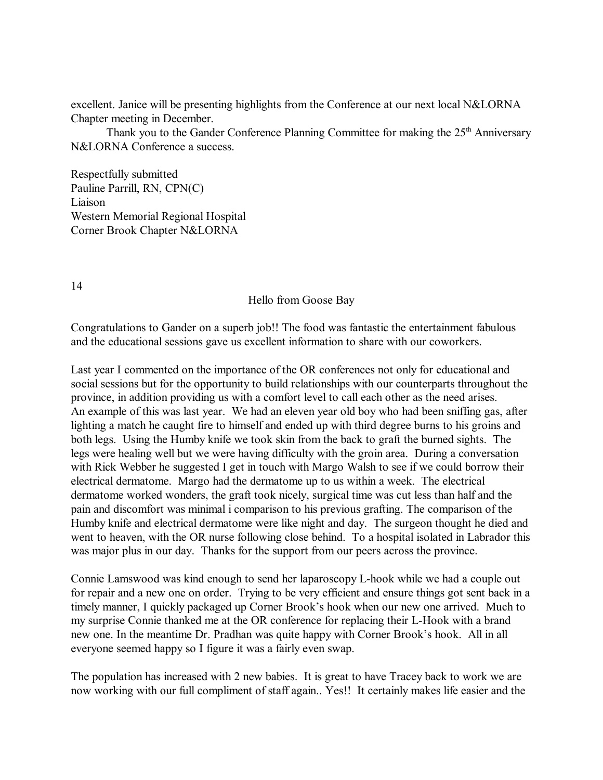excellent. Janice will be presenting highlights from the Conference at our next local N&LORNA Chapter meeting in December.

Thank you to the Gander Conference Planning Committee for making the  $25<sup>th</sup>$  Anniversary N&LORNA Conference a success.

Respectfully submitted Pauline Parrill, RN, CPN(C) Liaison Western Memorial Regional Hospital Corner Brook Chapter N&LORNA

14

Hello from Goose Bay

Congratulations to Gander on a superb job!! The food was fantastic the entertainment fabulous and the educational sessions gave us excellent information to share with our coworkers.

Last year I commented on the importance of the OR conferences not only for educational and social sessions but for the opportunity to build relationships with our counterparts throughout the province, in addition providing us with a comfort level to call each other as the need arises. An example of this was last year. We had an eleven year old boy who had been sniffing gas, after lighting a match he caught fire to himself and ended up with third degree burns to his groins and both legs. Using the Humby knife we took skin from the back to graft the burned sights. The legs were healing well but we were having difficulty with the groin area. During a conversation with Rick Webber he suggested I get in touch with Margo Walsh to see if we could borrow their electrical dermatome. Margo had the dermatome up to us within a week. The electrical dermatome worked wonders, the graft took nicely, surgical time was cut less than half and the pain and discomfort was minimal i comparison to his previous grafting. The comparison of the Humby knife and electrical dermatome were like night and day. The surgeon thought he died and went to heaven, with the OR nurse following close behind. To a hospital isolated in Labrador this was major plus in our day. Thanks for the support from our peers across the province.

Connie Lamswood was kind enough to send her laparoscopy L-hook while we had a couple out for repair and a new one on order. Trying to be very efficient and ensure things got sent back in a timely manner, I quickly packaged up Corner Brook's hook when our new one arrived. Much to my surprise Connie thanked me at the OR conference for replacing their L-Hook with a brand new one. In the meantime Dr. Pradhan was quite happy with Corner Brook's hook. All in all everyone seemed happy so I figure it was a fairly even swap.

The population has increased with 2 new babies. It is great to have Tracey back to work we are now working with our full compliment of staff again.. Yes!! It certainly makes life easier and the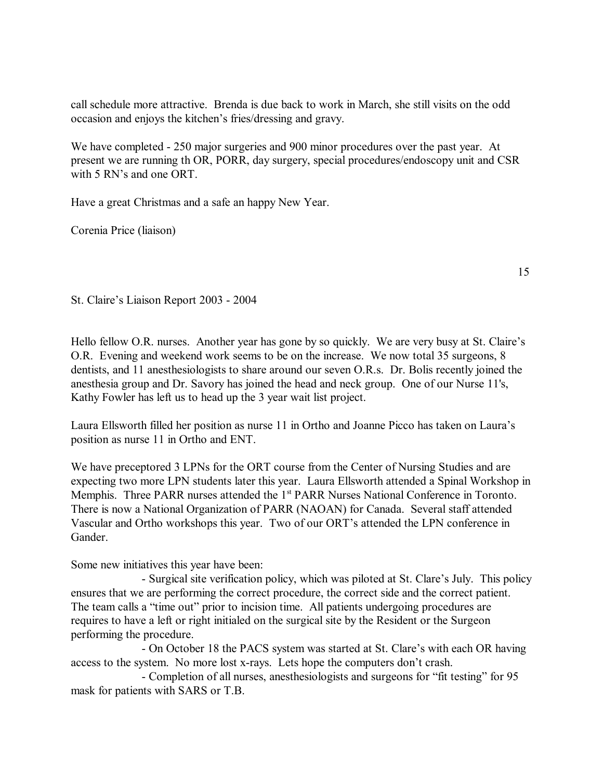call schedule more attractive. Brenda is due back to work in March, she still visits on the odd occasion and enjoys the kitchen's fries/dressing and gravy.

We have completed - 250 major surgeries and 900 minor procedures over the past year. At present we are running th OR, PORR, day surgery, special procedures/endoscopy unit and CSR with 5 RN's and one ORT.

Have a great Christmas and a safe an happy New Year.

Corenia Price (liaison)

15

St. Claire's Liaison Report 2003 - 2004

Hello fellow O.R. nurses. Another year has gone by so quickly. We are very busy at St. Claire's O.R. Evening and weekend work seems to be on the increase. We now total 35 surgeons, 8 dentists, and 11 anesthesiologists to share around our seven O.R.s. Dr. Bolis recently joined the anesthesia group and Dr. Savory has joined the head and neck group. One of our Nurse 11's, Kathy Fowler has left us to head up the 3 year wait list project.

Laura Ellsworth filled her position as nurse 11 in Ortho and Joanne Picco has taken on Laura's position as nurse 11 in Ortho and ENT.

We have preceptored 3 LPNs for the ORT course from the Center of Nursing Studies and are expecting two more LPN students later this year. Laura Ellsworth attended a Spinal Workshop in Memphis. Three PARR nurses attended the 1<sup>st</sup> PARR Nurses National Conference in Toronto. There is now a National Organization of PARR (NAOAN) for Canada. Several staff attended Vascular and Ortho workshops this year. Two of our ORT's attended the LPN conference in Gander.

Some new initiatives this year have been:

- Surgical site verification policy, which was piloted at St. Clare's July. This policy ensures that we are performing the correct procedure, the correct side and the correct patient. The team calls a "time out" prior to incision time. All patients undergoing procedures are requires to have a left or right initialed on the surgical site by the Resident or the Surgeon performing the procedure.

- On October 18 the PACS system was started at St. Clare's with each OR having access to the system. No more lost x-rays. Lets hope the computers don't crash.

- Completion of all nurses, anesthesiologists and surgeons for "fit testing" for 95 mask for patients with SARS or T.B.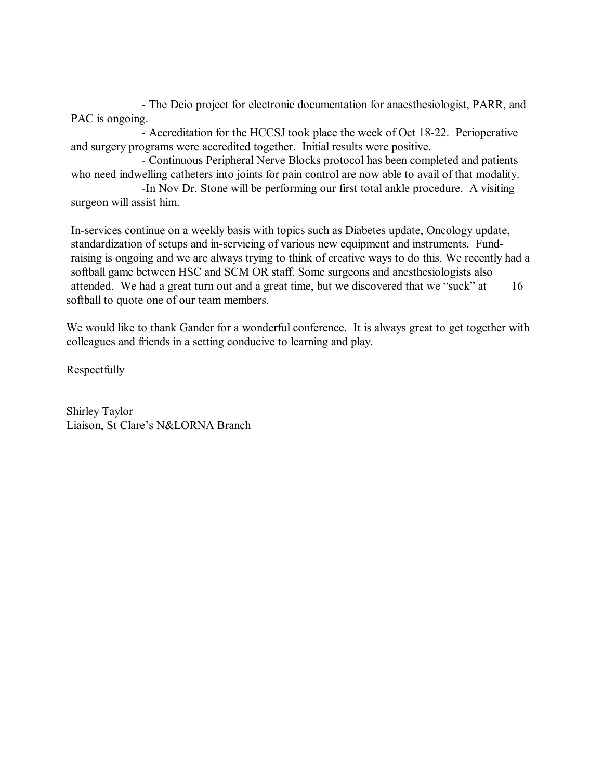- The Deio project for electronic documentation for anaesthesiologist, PARR, and PAC is ongoing.

- Accreditation for the HCCSJ took place the week of Oct 18-22. Perioperative and surgery programs were accredited together. Initial results were positive.

- Continuous Peripheral Nerve Blocks protocol has been completed and patients who need indwelling catheters into joints for pain control are now able to avail of that modality.

-In Nov Dr. Stone will be performing our first total ankle procedure. A visiting surgeon will assist him.

In-services continue on a weekly basis with topics such as Diabetes update, Oncology update, standardization of setups and in-servicing of various new equipment and instruments. Fundraising is ongoing and we are always trying to think of creative ways to do this. We recently had a softball game between HSC and SCM OR staff. Some surgeons and anesthesiologists also attended. We had a great turn out and a great time, but we discovered that we "suck" at  $16$ softball to quote one of our team members.

We would like to thank Gander for a wonderful conference. It is always great to get together with colleagues and friends in a setting conducive to learning and play.

Respectfully

Shirley Taylor Liaison, St Clare's N&LORNA Branch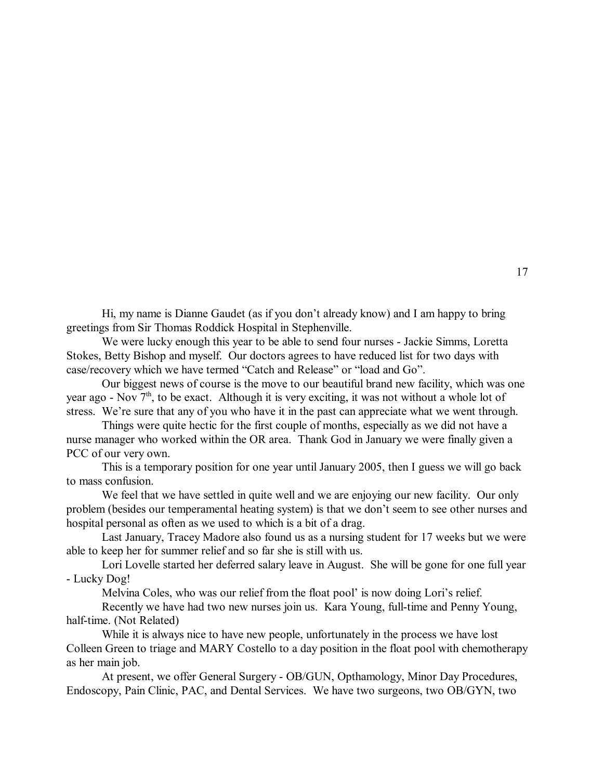Hi, my name is Dianne Gaudet (as if you don't already know) and I am happy to bring greetings from Sir Thomas Roddick Hospital in Stephenville.

We were lucky enough this year to be able to send four nurses - Jackie Simms, Loretta Stokes, Betty Bishop and myself. Our doctors agrees to have reduced list for two days with case/recovery which we have termed "Catch and Release" or "load and Go".

Our biggest news of course is the move to our beautiful brand new facility, which was one year ago - Nov  $7<sup>th</sup>$ , to be exact. Although it is very exciting, it was not without a whole lot of stress. We're sure that any of you who have it in the past can appreciate what we went through.

Things were quite hectic for the first couple of months, especially as we did not have a nurse manager who worked within the OR area. Thank God in January we were finally given a PCC of our very own.

This is a temporary position for one year until January 2005, then I guess we will go back to mass confusion.

We feel that we have settled in quite well and we are enjoying our new facility. Our only problem (besides our temperamental heating system) is that we don't seem to see other nurses and hospital personal as often as we used to which is a bit of a drag.

Last January, Tracey Madore also found us as a nursing student for 17 weeks but we were able to keep her for summer relief and so far she is still with us.

Lori Lovelle started her deferred salary leave in August. She will be gone for one full year - Lucky Dog!

Melvina Coles, who was our relief from the float pool' is now doing Lori's relief.

Recently we have had two new nurses join us. Kara Young, full-time and Penny Young, half-time. (Not Related)

While it is always nice to have new people, unfortunately in the process we have lost Colleen Green to triage and MARY Costello to a day position in the float pool with chemotherapy as her main job.

At present, we offer General Surgery - OB/GUN, Opthamology, Minor Day Procedures, Endoscopy, Pain Clinic, PAC, and Dental Services. We have two surgeons, two OB/GYN, two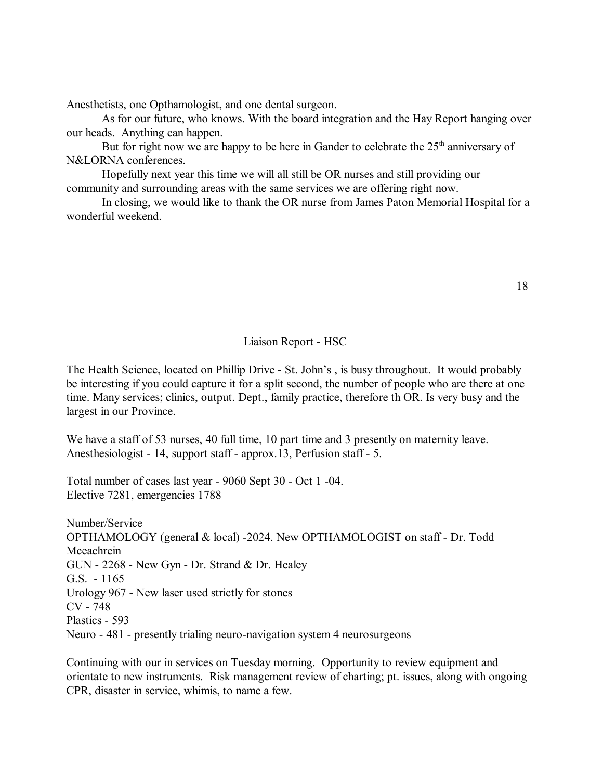Anesthetists, one Opthamologist, and one dental surgeon.

As for our future, who knows. With the board integration and the Hay Report hanging over our heads. Anything can happen.

But for right now we are happy to be here in Gander to celebrate the  $25<sup>th</sup>$  anniversary of N&LORNA conferences.

Hopefully next year this time we will all still be OR nurses and still providing our community and surrounding areas with the same services we are offering right now.

In closing, we would like to thank the OR nurse from James Paton Memorial Hospital for a wonderful weekend.

#### Liaison Report - HSC

The Health Science, located on Phillip Drive - St. John's, is busy throughout. It would probably be interesting if you could capture it for a split second, the number of people who are there at one time. Many services; clinics, output. Dept., family practice, therefore th OR. Is very busy and the largest in our Province.

We have a staff of 53 nurses, 40 full time, 10 part time and 3 presently on maternity leave. Anesthesiologist - 14, support staff - approx.13, Perfusion staff - 5.

Total number of cases last year - 9060 Sept 30 - Oct 1 -04. Elective 7281, emergencies 1788

Number/Service OPTHAMOLOGY (general & local) -2024. New OPTHAMOLOGIST on staff - Dr. Todd Mceachrein GUN - 2268 - New Gyn - Dr. Strand & Dr. Healey G.S. - 1165 Urology 967 - New laser used strictly for stones CV - 748 Plastics - 593 Neuro - 481 - presently trialing neuro-navigation system 4 neurosurgeons

Continuing with our in services on Tuesday morning. Opportunity to review equipment and orientate to new instruments. Risk management review of charting; pt. issues, along with ongoing CPR, disaster in service, whimis, to name a few.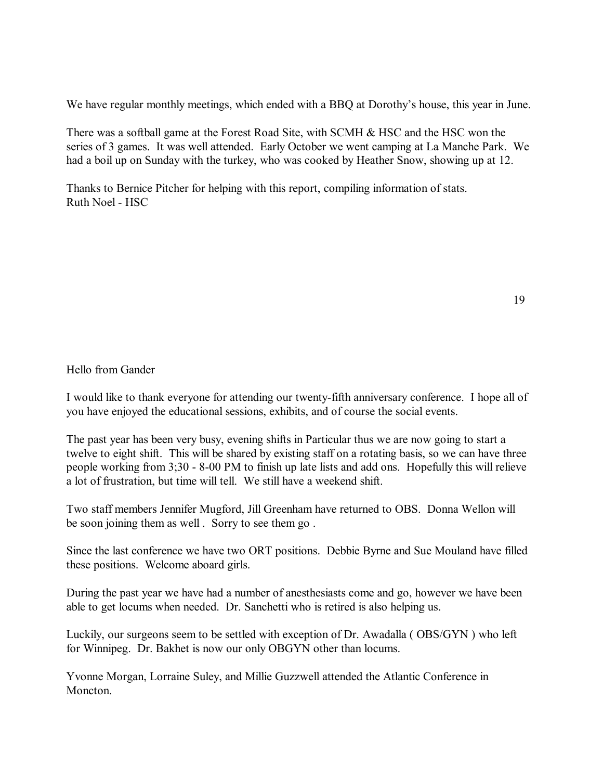We have regular monthly meetings, which ended with a BBQ at Dorothy's house, this year in June.

There was a softball game at the Forest Road Site, with SCMH & HSC and the HSC won the series of 3 games. It was well attended. Early October we went camping at La Manche Park. We had a boil up on Sunday with the turkey, who was cooked by Heather Snow, showing up at 12.

Thanks to Bernice Pitcher for helping with this report, compiling information of stats. Ruth Noel - HSC

Hello from Gander

I would like to thank everyone for attending our twenty-fifth anniversary conference. I hope all of you have enjoyed the educational sessions, exhibits, and of course the social events.

The past year has been very busy, evening shifts in Particular thus we are now going to start a twelve to eight shift. This will be shared by existing staff on a rotating basis, so we can have three people working from 3;30 - 8-00 PM to finish up late lists and add ons. Hopefully this will relieve a lot of frustration, but time will tell. We still have a weekend shift.

Two staff members Jennifer Mugford, Jill Greenham have returned to OBS. Donna Wellon will be soon joining them as well . Sorry to see them go .

Since the last conference we have two ORT positions. Debbie Byrne and Sue Mouland have filled these positions. Welcome aboard girls.

During the past year we have had a number of anesthesiasts come and go, however we have been able to get locums when needed. Dr. Sanchetti who is retired is also helping us.

Luckily, our surgeons seem to be settled with exception of Dr. Awadalla ( OBS/GYN ) who left for Winnipeg. Dr. Bakhet is now our only OBGYN other than locums.

Yvonne Morgan, Lorraine Suley, and Millie Guzzwell attended the Atlantic Conference in Moncton.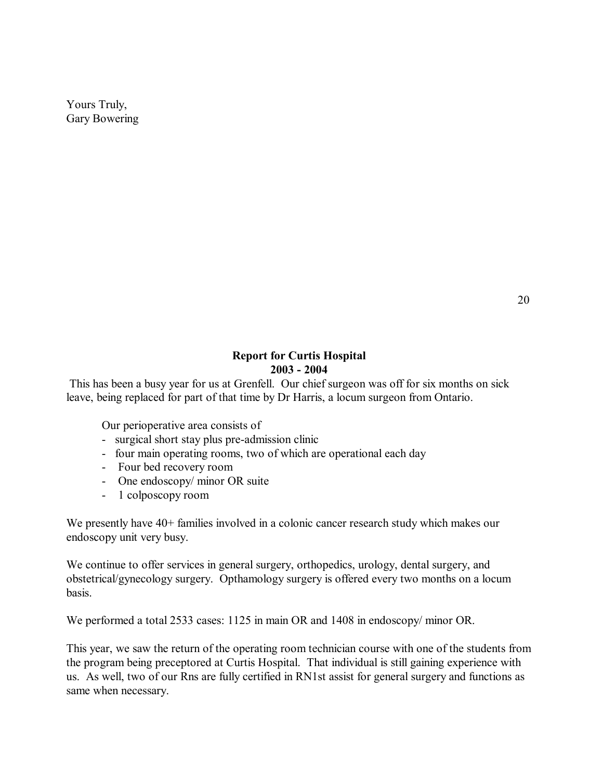Yours Truly, Gary Bowering

### **Report for Curtis Hospital 2003 - 2004**

 This has been a busy year for us at Grenfell. Our chief surgeon was off for six months on sick leave, being replaced for part of that time by Dr Harris, a locum surgeon from Ontario.

Our perioperative area consists of

- surgical short stay plus pre-admission clinic
- four main operating rooms, two of which are operational each day
- Four bed recovery room
- One endoscopy/ minor OR suite
- 1 colposcopy room

We presently have 40+ families involved in a colonic cancer research study which makes our endoscopy unit very busy.

We continue to offer services in general surgery, orthopedics, urology, dental surgery, and obstetrical/gynecology surgery. Opthamology surgery is offered every two months on a locum basis.

We performed a total 2533 cases: 1125 in main OR and 1408 in endoscopy/ minor OR.

This year, we saw the return of the operating room technician course with one of the students from the program being preceptored at Curtis Hospital. That individual is still gaining experience with us. As well, two of our Rns are fully certified in RN1st assist for general surgery and functions as same when necessary.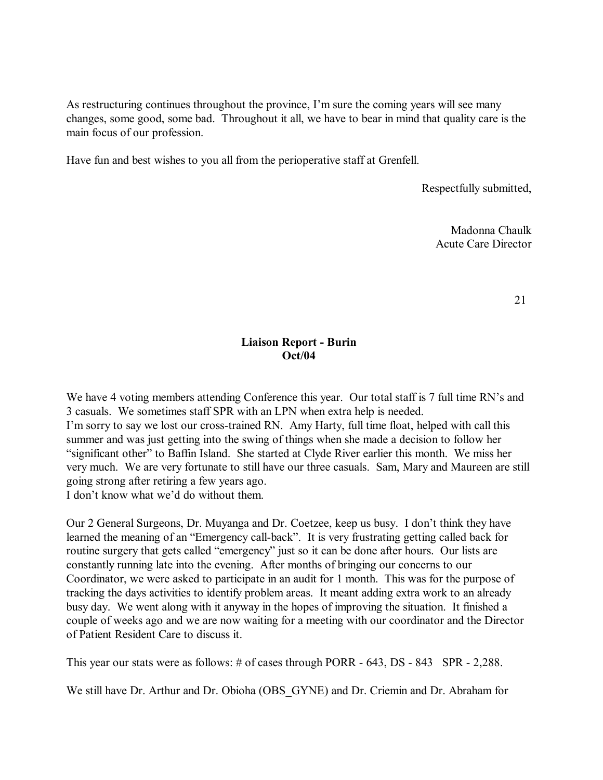As restructuring continues throughout the province, I'm sure the coming years will see many changes, some good, some bad. Throughout it all, we have to bear in mind that quality care is the main focus of our profession.

Have fun and best wishes to you all from the perioperative staff at Grenfell.

Respectfully submitted,

Madonna Chaulk Acute Care Director

21

### **Liaison Report - Burin Oct/04**

We have 4 voting members attending Conference this year. Our total staff is 7 full time RN's and 3 casuals. We sometimes staff SPR with an LPN when extra help is needed. I'm sorry to say we lost our cross-trained RN. Amy Harty, full time float, helped with call this summer and was just getting into the swing of things when she made a decision to follow her "significant other" to Baffin Island. She started at Clyde River earlier this month. We miss her very much. We are very fortunate to still have our three casuals. Sam, Mary and Maureen are still going strong after retiring a few years ago.

I don't know what we'd do without them.

Our 2 General Surgeons, Dr. Muyanga and Dr. Coetzee, keep us busy. I don't think they have learned the meaning of an "Emergency call-back". It is very frustrating getting called back for routine surgery that gets called "emergency" just so it can be done after hours. Our lists are constantly running late into the evening. After months of bringing our concerns to our Coordinator, we were asked to participate in an audit for 1 month. This was for the purpose of tracking the days activities to identify problem areas. It meant adding extra work to an already busy day. We went along with it anyway in the hopes of improving the situation. It finished a couple of weeks ago and we are now waiting for a meeting with our coordinator and the Director of Patient Resident Care to discuss it.

This year our stats were as follows: # of cases through PORR - 643, DS - 843 SPR - 2,288.

We still have Dr. Arthur and Dr. Obioha (OBS\_GYNE) and Dr. Criemin and Dr. Abraham for